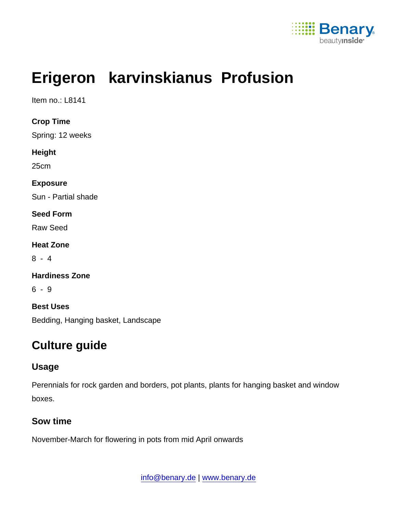

# Erigeron karvinskianus Profusion

Item no.: L8141

Crop Time Spring: 12 weeks Height 25cm Exposure Sun - Partial shade Seed Form Raw Seed Heat Zone 8 - 4 Hardiness Zone 6 - 9 Best Uses Bedding, Hanging basket, Landscape

# Culture guide

# Usage

Perennials for rock garden and borders, pot plants, plants for hanging basket and window boxes.

#### Sow time

November-March for flowering in pots from mid April onwards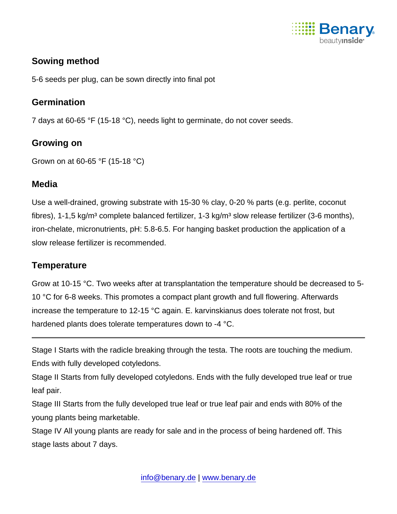

# Sowing method

5-6 seeds per plug, can be sown directly into final pot

## **Germination**

7 days at 60-65 °F (15-18 °C), needs light to germinate, do not cover seeds.

#### Growing on

Grown on at 60-65 °F (15-18 °C)

#### **Media**

Use a well-drained, growing substrate with 15-30 % clay, 0-20 % parts (e.g. perlite, coconut fibres), 1-1,5 kg/m<sup>3</sup> complete balanced fertilizer, 1-3 kg/m<sup>3</sup> slow release fertilizer (3-6 months), iron-chelate, micronutrients, pH: 5.8-6.5. For hanging basket production the application of a slow release fertilizer is recommended.

### **Temperature**

Grow at 10-15 °C. Two weeks after at transplantation the temperature should be decreased to 5- 10 °C for 6-8 weeks. This promotes a compact plant growth and full flowering. Afterwards increase the temperature to 12-15 °C again. E. karvinskianus does tolerate not frost, but hardened plants does tolerate temperatures down to -4 °C.

Stage I Starts with the radicle breaking through the testa. The roots are touching the medium. Ends with fully developed cotyledons.

Stage II Starts from fully developed cotyledons. Ends with the fully developed true leaf or true leaf pair.

Stage III Starts from the fully developed true leaf or true leaf pair and ends with 80% of the young plants being marketable.

Stage IV All young plants are ready for sale and in the process of being hardened off. This stage lasts about 7 days.